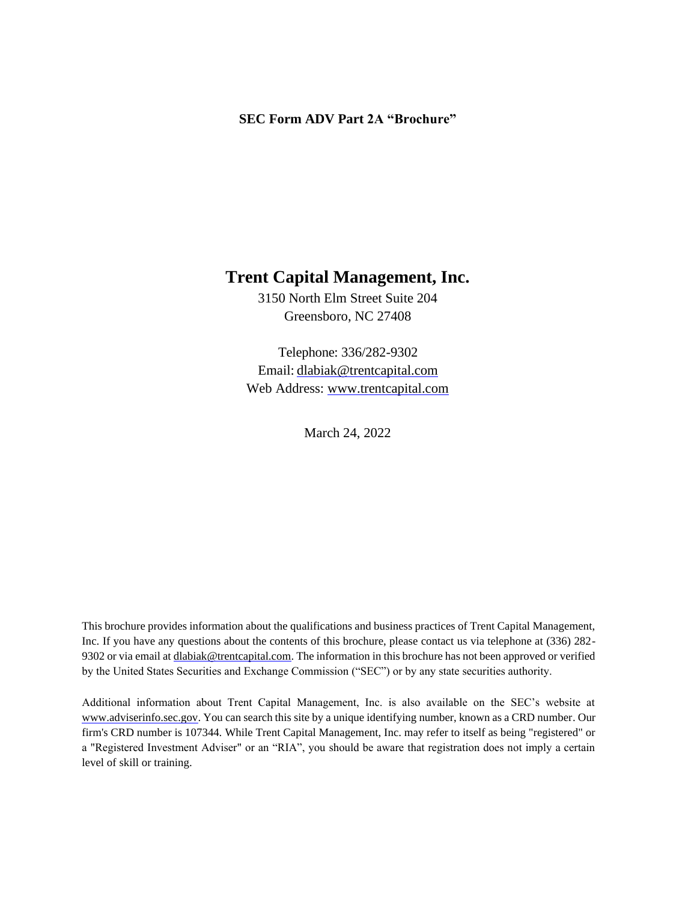#### **SEC Form ADV Part 2A "Brochure"**

## **Trent Capital Management, Inc.**

3150 North Elm Street Suite 204 Greensboro, NC 27408

Telephone: 336/282-9302 Email: [dlabiak@trentcapital.com](mailto:dlabiak@trentcapital.com) Web Address: [www.trentcapital.com](http://www.trentcapital.com/)

March 24, 2022

This brochure provides information about the qualifications and business practices of Trent Capital Management, Inc. If you have any questions about the contents of this brochure, please contact us via telephone at (336) 282 9302 or via email a[t dlabiak@trentcapital.com. T](mailto:dlabiak@trentcapital.com)he information in this brochure has not been approved or verified by the United States Securities and Exchange Commission ("SEC") or by any state securities authority.

Additional information about Trent Capital Management, Inc. is also available on the SEC's website at [www.adviserinfo.sec.gov. Y](http://www.adviserinfo.sec.gov/)ou can search this site by a unique identifying number, known as a CRD number. Our firm's CRD number is 107344. While Trent Capital Management, Inc. may refer to itself as being "registered" or a "Registered Investment Adviser" or an "RIA", you should be aware that registration does not imply a certain level of skill or training.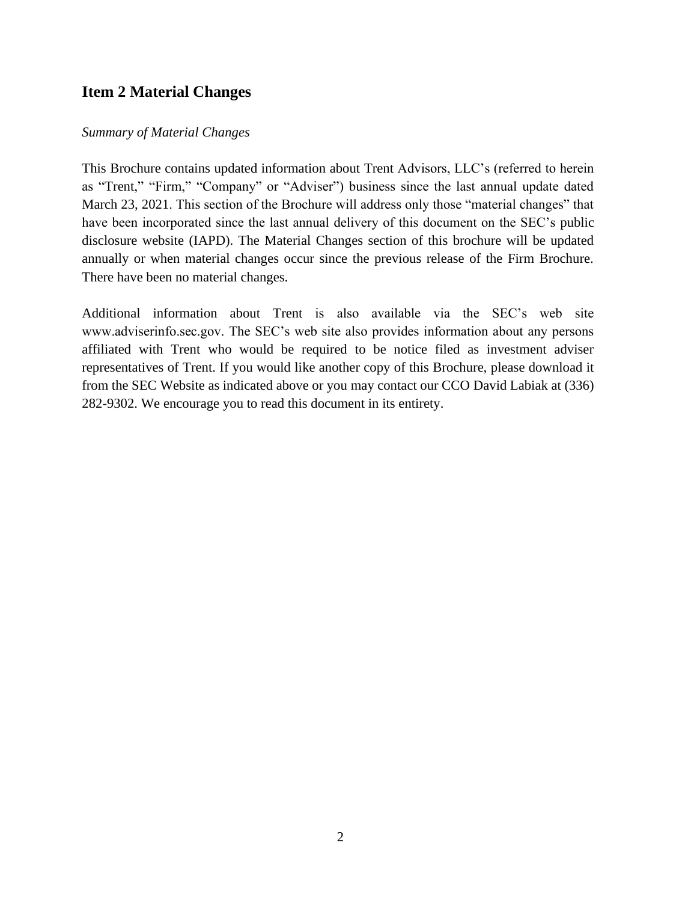### **Item 2 Material Changes**

#### *Summary of Material Changes*

This Brochure contains updated information about Trent Advisors, LLC's (referred to herein as "Trent," "Firm," "Company" or "Adviser") business since the last annual update dated March 23, 2021. This section of the Brochure will address only those "material changes" that have been incorporated since the last annual delivery of this document on the SEC's public disclosure website (IAPD). The Material Changes section of this brochure will be updated annually or when material changes occur since the previous release of the Firm Brochure. There have been no material changes.

Additional information about Trent is also available via the SEC's web site www.adviserinfo.sec.gov. The SEC's web site also provides information about any persons affiliated with Trent who would be required to be notice filed as investment adviser representatives of Trent. If you would like another copy of this Brochure, please download it from the SEC Website as indicated above or you may contact our CCO David Labiak at (336) 282-9302. We encourage you to read this document in its entirety.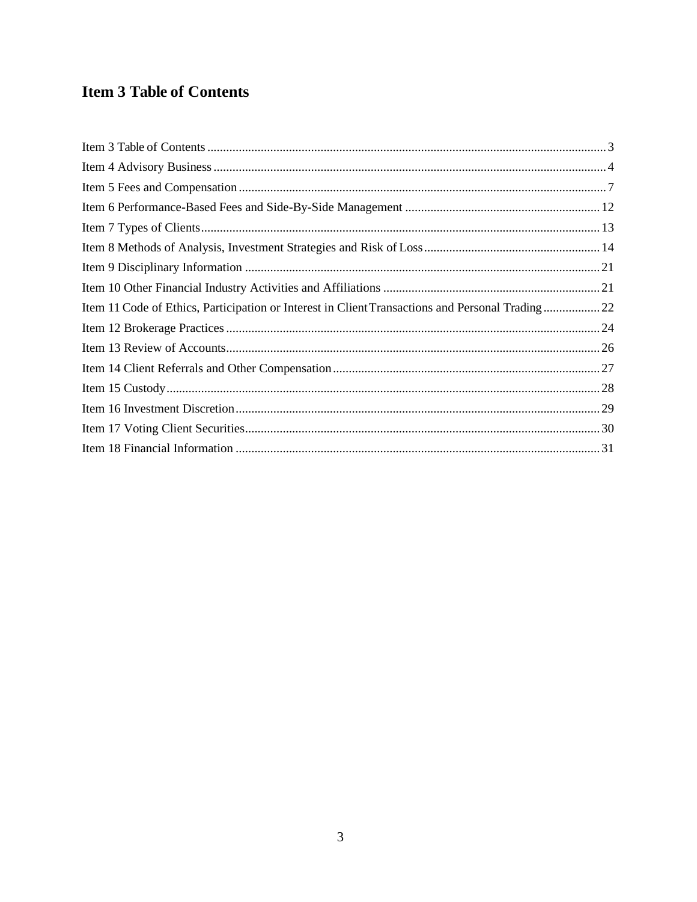# <span id="page-2-0"></span>**Item 3 Table of Contents**

| Item 11 Code of Ethics, Participation or Interest in Client Transactions and Personal Trading22 |
|-------------------------------------------------------------------------------------------------|
|                                                                                                 |
|                                                                                                 |
|                                                                                                 |
|                                                                                                 |
|                                                                                                 |
|                                                                                                 |
|                                                                                                 |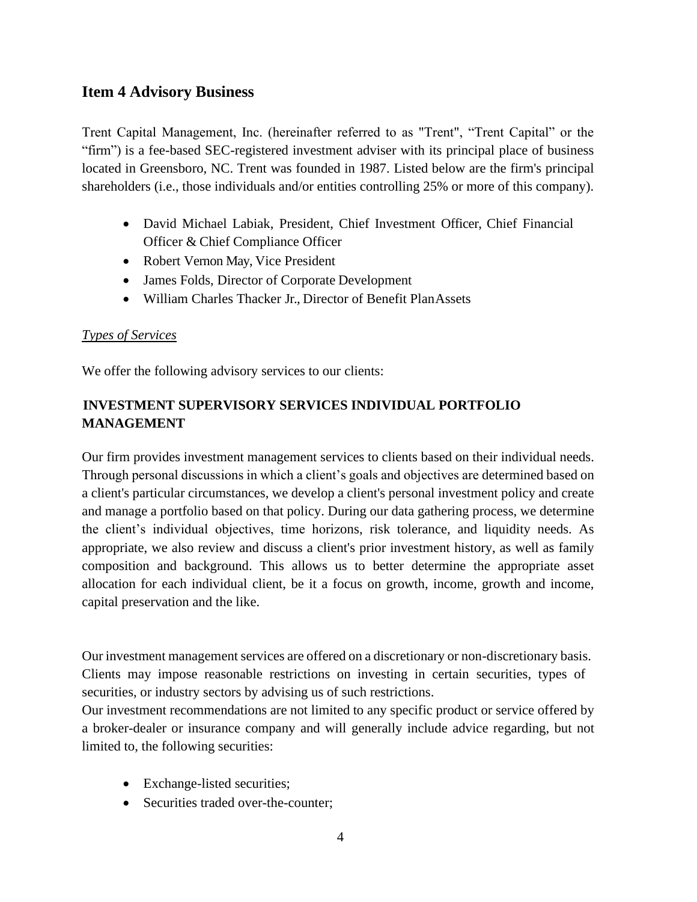## <span id="page-3-0"></span>**Item 4 Advisory Business**

Trent Capital Management, Inc. (hereinafter referred to as "Trent", "Trent Capital" or the "firm") is a fee-based SEC-registered investment adviser with its principal place of business located in Greensboro, NC. Trent was founded in 1987. Listed below are the firm's principal shareholders (i.e., those individuals and/or entities controlling 25% or more of this company).

- David Michael Labiak, President, Chief Investment Officer, Chief Financial Officer & Chief Compliance Officer
- Robert Vernon May, Vice President
- James Folds, Director of Corporate Development
- William Charles Thacker Jr., Director of Benefit PlanAssets

### *Types of Services*

We offer the following advisory services to our clients:

## **INVESTMENT SUPERVISORY SERVICES INDIVIDUAL PORTFOLIO MANAGEMENT**

Our firm provides investment management services to clients based on their individual needs. Through personal discussions in which a client's goals and objectives are determined based on a client's particular circumstances, we develop a client's personal investment policy and create and manage a portfolio based on that policy. During our data gathering process, we determine the client's individual objectives, time horizons, risk tolerance, and liquidity needs. As appropriate, we also review and discuss a client's prior investment history, as well as family composition and background. This allows us to better determine the appropriate asset allocation for each individual client, be it a focus on growth, income, growth and income, capital preservation and the like.

Our investment management services are offered on a discretionary or non-discretionary basis. Clients may impose reasonable restrictions on investing in certain securities, types of securities, or industry sectors by advising us of such restrictions.

Our investment recommendations are not limited to any specific product or service offered by a broker-dealer or insurance company and will generally include advice regarding, but not limited to, the following securities:

- Exchange-listed securities;
- Securities traded over-the-counter: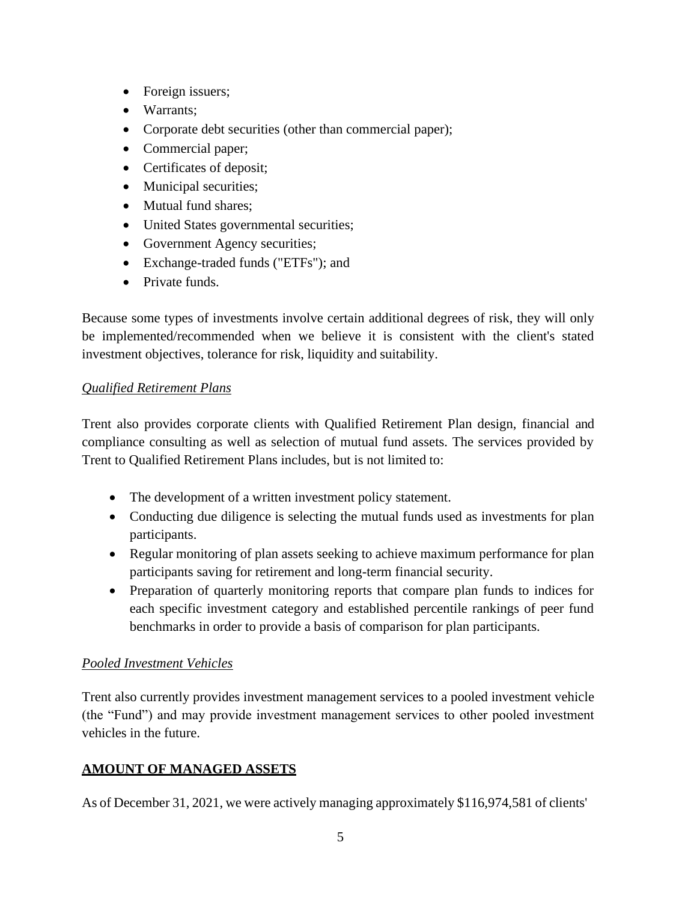- Foreign issuers;
- Warrants;
- Corporate debt securities (other than commercial paper);
- Commercial paper;
- Certificates of deposit;
- Municipal securities;
- Mutual fund shares;
- United States governmental securities;
- Government Agency securities;
- Exchange-traded funds ("ETFs"); and
- Private funds.

Because some types of investments involve certain additional degrees of risk, they will only be implemented/recommended when we believe it is consistent with the client's stated investment objectives, tolerance for risk, liquidity and suitability.

### *Qualified Retirement Plans*

Trent also provides corporate clients with Qualified Retirement Plan design, financial and compliance consulting as well as selection of mutual fund assets. The services provided by Trent to Qualified Retirement Plans includes, but is not limited to:

- The development of a written investment policy statement.
- Conducting due diligence is selecting the mutual funds used as investments for plan participants.
- Regular monitoring of plan assets seeking to achieve maximum performance for plan participants saving for retirement and long-term financial security.
- Preparation of quarterly monitoring reports that compare plan funds to indices for each specific investment category and established percentile rankings of peer fund benchmarks in order to provide a basis of comparison for plan participants.

### *Pooled Investment Vehicles*

Trent also currently provides investment management services to a pooled investment vehicle (the "Fund") and may provide investment management services to other pooled investment vehicles in the future.

### **AMOUNT OF MANAGED ASSETS**

As of December 31, 2021, we were actively managing approximately \$116,974,581 of clients'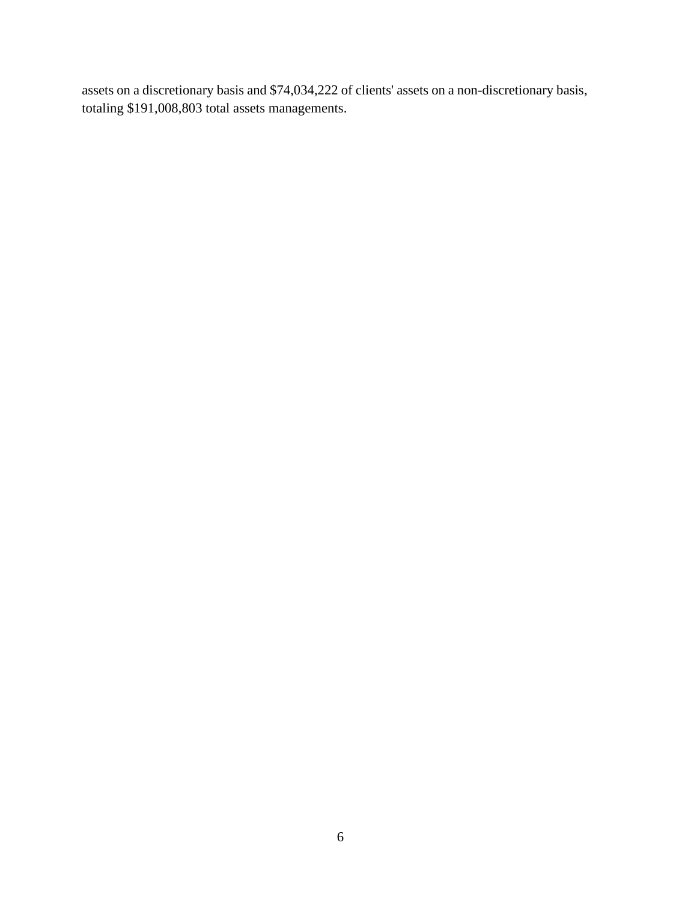assets on a discretionary basis and \$74,034,222 of clients' assets on a non-discretionary basis, totaling \$191,008,803 total assets managements.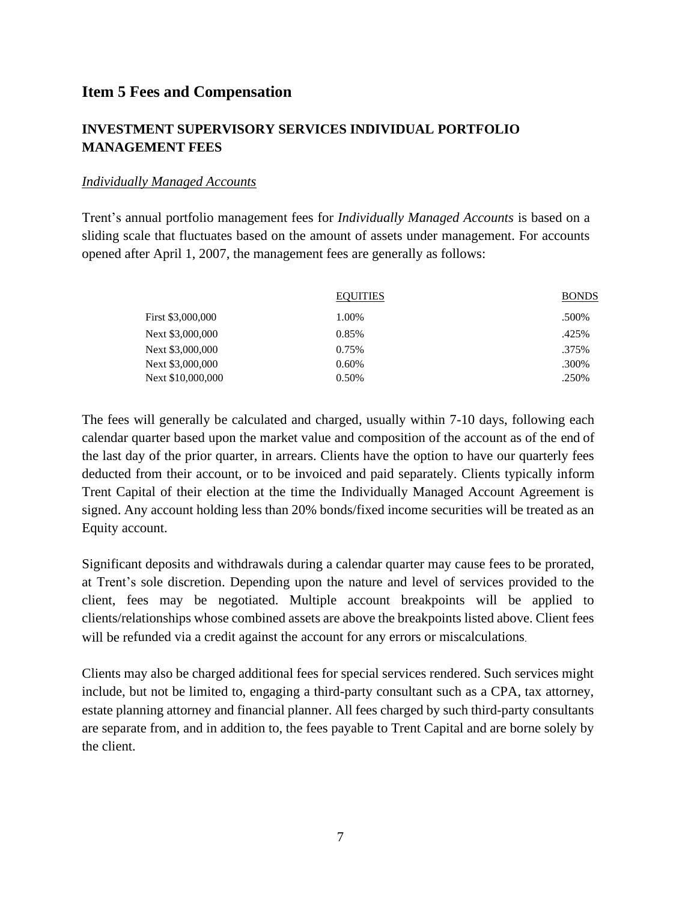### <span id="page-6-0"></span>**Item 5 Fees and Compensation**

### **INVESTMENT SUPERVISORY SERVICES INDIVIDUAL PORTFOLIO MANAGEMENT FEES**

#### *Individually Managed Accounts*

Trent's annual portfolio management fees for *Individually Managed Accounts* is based on a sliding scale that fluctuates based on the amount of assets under management. For accounts opened after April 1, 2007, the management fees are generally as follows:

|                   | <b>EQUITIES</b> | <b>BONDS</b> |
|-------------------|-----------------|--------------|
| First \$3,000,000 | 1.00%           | .500%        |
| Next \$3,000,000  | 0.85%           | .425%        |
| Next \$3,000,000  | 0.75%           | .375%        |
| Next \$3,000,000  | 0.60%           | .300%        |
| Next \$10,000,000 | 0.50%           | .250%        |

The fees will generally be calculated and charged, usually within 7-10 days, following each calendar quarter based upon the market value and composition of the account as of the end of the last day of the prior quarter, in arrears. Clients have the option to have our quarterly fees deducted from their account, or to be invoiced and paid separately. Clients typically inform Trent Capital of their election at the time the Individually Managed Account Agreement is signed. Any account holding less than 20% bonds/fixed income securities will be treated as an Equity account.

Significant deposits and withdrawals during a calendar quarter may cause fees to be prorated, at Trent's sole discretion. Depending upon the nature and level of services provided to the client, fees may be negotiated. Multiple account breakpoints will be applied to clients/relationships whose combined assets are above the breakpoints listed above. Client fees will be refunded via a credit against the account for any errors or miscalculations.

Clients may also be charged additional fees for special services rendered. Such services might include, but not be limited to, engaging a third-party consultant such as a CPA, tax attorney, estate planning attorney and financial planner. All fees charged by such third-party consultants are separate from, and in addition to, the fees payable to Trent Capital and are borne solely by the client.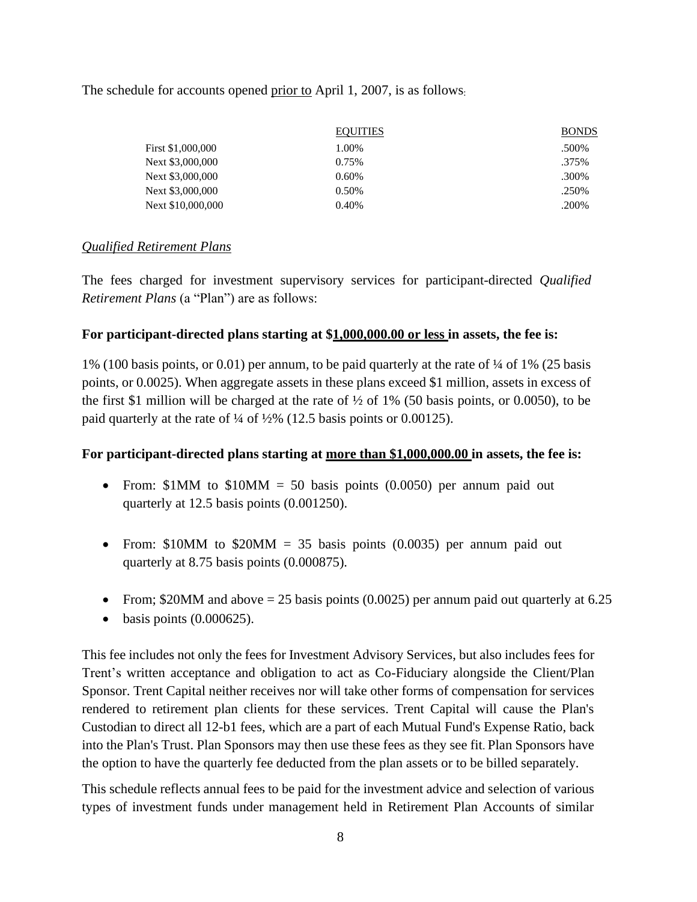#### The schedule for accounts opened prior to April 1, 2007, is as follows:

|                   | <b>EQUITIES</b> | <b>BONDS</b> |
|-------------------|-----------------|--------------|
| First \$1,000,000 | 1.00%           | .500%        |
| Next \$3,000,000  | 0.75%           | .375%        |
| Next \$3,000,000  | 0.60%           | .300%        |
| Next \$3,000,000  | 0.50%           | .250%        |
| Next \$10,000,000 | 0.40%           | .200%        |

#### *Qualified Retirement Plans*

The fees charged for investment supervisory services for participant-directed *Qualified Retirement Plans* (a "Plan") are as follows:

### **For participant-directed plans starting at \$1,000,000.00 or less in assets, the fee is:**

1% (100 basis points, or 0.01) per annum, to be paid quarterly at the rate of ¼ of 1% (25 basis points, or 0.0025). When aggregate assets in these plans exceed \$1 million, assets in excess of the first \$1 million will be charged at the rate of  $\frac{1}{2}$  of 1% (50 basis points, or 0.0050), to be paid quarterly at the rate of ¼ of ½% (12.5 basis points or 0.00125).

#### **For participant-directed plans starting at more than \$1,000,000.00 in assets, the fee is:**

- From:  $$1MM$  to  $$10MM = 50$  basis points (0.0050) per annum paid out quarterly at 12.5 basis points (0.001250).
- From:  $$10MM$  to  $$20MM = 35$  basis points (0.0035) per annum paid out quarterly at 8.75 basis points (0.000875).
- From; \$20MM and above  $= 25$  basis points (0.0025) per annum paid out quarterly at 6.25
- $\bullet$  basis points (0.000625).

This fee includes not only the fees for Investment Advisory Services, but also includes fees for Trent's written acceptance and obligation to act as Co-Fiduciary alongside the Client/Plan Sponsor. Trent Capital neither receives nor will take other forms of compensation for services rendered to retirement plan clients for these services. Trent Capital will cause the Plan's Custodian to direct all 12-b1 fees, which are a part of each Mutual Fund's Expense Ratio, back into the Plan's Trust. Plan Sponsors may then use these fees as they see fit. Plan Sponsors have the option to have the quarterly fee deducted from the plan assets or to be billed separately.

This schedule reflects annual fees to be paid for the investment advice and selection of various types of investment funds under management held in Retirement Plan Accounts of similar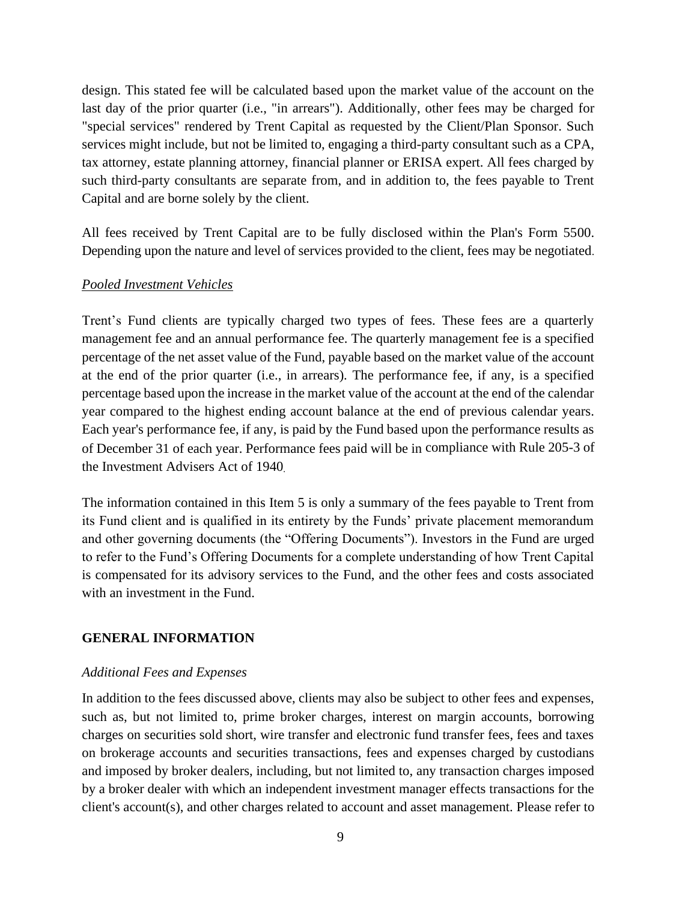design. This stated fee will be calculated based upon the market value of the account on the last day of the prior quarter (i.e., "in arrears"). Additionally, other fees may be charged for "special services" rendered by Trent Capital as requested by the Client/Plan Sponsor. Such services might include, but not be limited to, engaging a third-party consultant such as a CPA, tax attorney, estate planning attorney, financial planner or ERISA expert. All fees charged by such third-party consultants are separate from, and in addition to, the fees payable to Trent Capital and are borne solely by the client.

All fees received by Trent Capital are to be fully disclosed within the Plan's Form 5500. Depending upon the nature and level of services provided to the client, fees may be negotiated.

#### *Pooled Investment Vehicles*

Trent's Fund clients are typically charged two types of fees. These fees are a quarterly management fee and an annual performance fee. The quarterly management fee is a specified percentage of the net asset value of the Fund, payable based on the market value of the account at the end of the prior quarter (i.e., in arrears). The performance fee, if any, is a specified percentage based upon the increase in the market value of the account at the end of the calendar year compared to the highest ending account balance at the end of previous calendar years. Each year's performance fee, if any, is paid by the Fund based upon the performance results as of December 31 of each year. Performance fees paid will be in compliance with Rule 205-3 of the Investment Advisers Act of 1940.

The information contained in this Item 5 is only a summary of the fees payable to Trent from its Fund client and is qualified in its entirety by the Funds' private placement memorandum and other governing documents (the "Offering Documents"). Investors in the Fund are urged to refer to the Fund's Offering Documents for a complete understanding of how Trent Capital is compensated for its advisory services to the Fund, and the other fees and costs associated with an investment in the Fund.

#### **GENERAL INFORMATION**

#### *Additional Fees and Expenses*

In addition to the fees discussed above, clients may also be subject to other fees and expenses, such as, but not limited to, prime broker charges, interest on margin accounts, borrowing charges on securities sold short, wire transfer and electronic fund transfer fees, fees and taxes on brokerage accounts and securities transactions, fees and expenses charged by custodians and imposed by broker dealers, including, but not limited to, any transaction charges imposed by a broker dealer with which an independent investment manager effects transactions for the client's account(s), and other charges related to account and asset management. Please refer to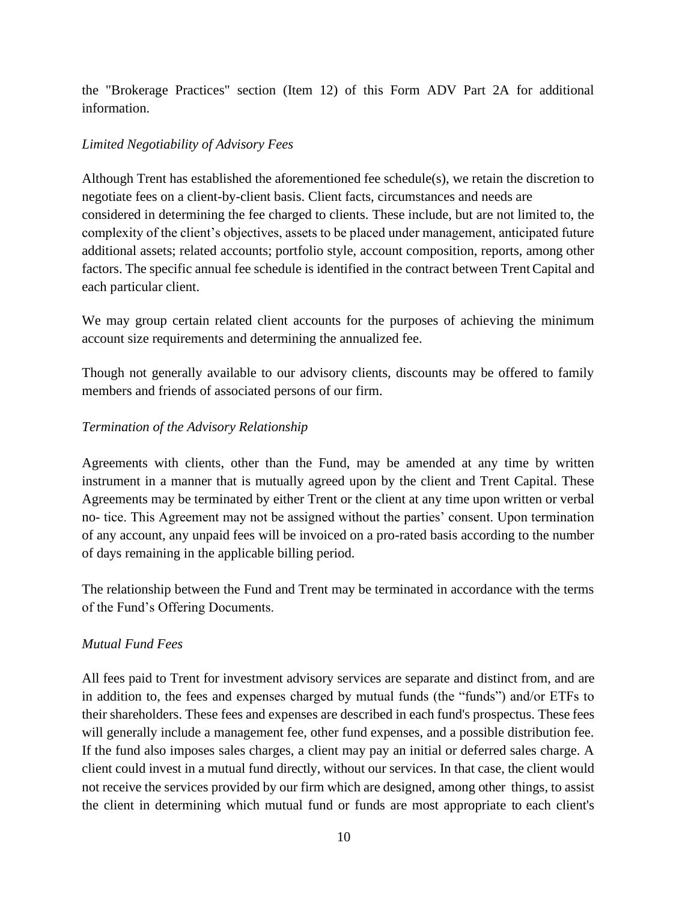the "Brokerage Practices" section (Item 12) of this Form ADV Part 2A for additional information.

### *Limited Negotiability of Advisory Fees*

Although Trent has established the aforementioned fee schedule(s), we retain the discretion to negotiate fees on a client-by-client basis. Client facts, circumstances and needs are considered in determining the fee charged to clients. These include, but are not limited to, the complexity of the client's objectives, assets to be placed under management, anticipated future additional assets; related accounts; portfolio style, account composition, reports, among other factors. The specific annual fee schedule is identified in the contract between TrentCapital and each particular client.

We may group certain related client accounts for the purposes of achieving the minimum account size requirements and determining the annualized fee.

Though not generally available to our advisory clients, discounts may be offered to family members and friends of associated persons of our firm.

### *Termination of the Advisory Relationship*

Agreements with clients, other than the Fund, may be amended at any time by written instrument in a manner that is mutually agreed upon by the client and Trent Capital. These Agreements may be terminated by either Trent or the client at any time upon written or verbal no- tice. This Agreement may not be assigned without the parties' consent. Upon termination of any account, any unpaid fees will be invoiced on a pro-rated basis according to the number of days remaining in the applicable billing period.

The relationship between the Fund and Trent may be terminated in accordance with the terms of the Fund's Offering Documents.

### *Mutual Fund Fees*

All fees paid to Trent for investment advisory services are separate and distinct from, and are in addition to, the fees and expenses charged by mutual funds (the "funds") and/or ETFs to their shareholders. These fees and expenses are described in each fund's prospectus. These fees will generally include a management fee, other fund expenses, and a possible distribution fee. If the fund also imposes sales charges, a client may pay an initial or deferred sales charge. A client could invest in a mutual fund directly, without our services. In that case, the client would not receive the services provided by our firm which are designed, among other things, to assist the client in determining which mutual fund or funds are most appropriate to each client's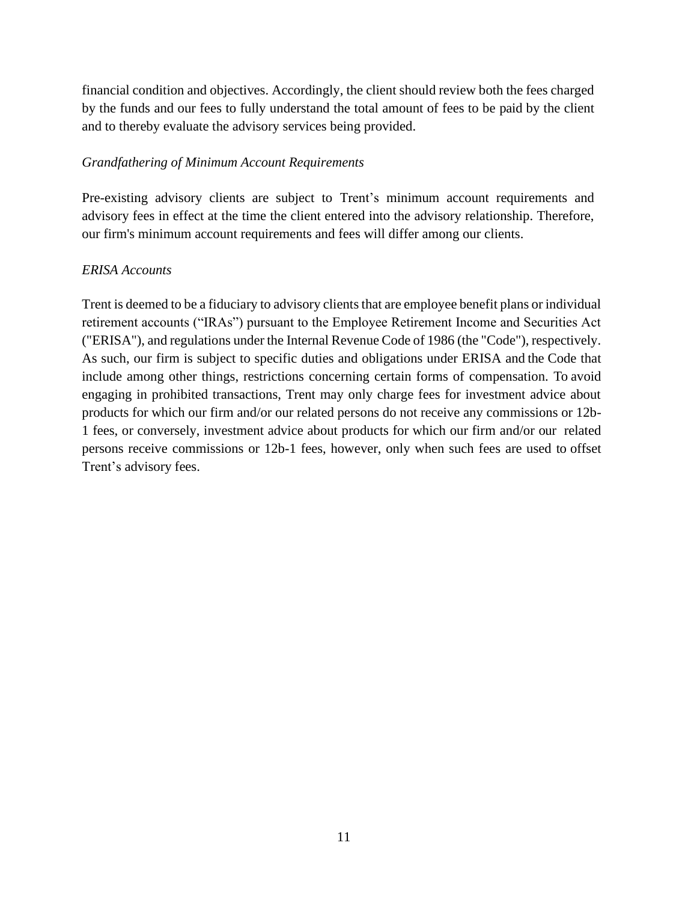financial condition and objectives. Accordingly, the client should review both the fees charged by the funds and our fees to fully understand the total amount of fees to be paid by the client and to thereby evaluate the advisory services being provided.

#### *Grandfathering of Minimum Account Requirements*

Pre-existing advisory clients are subject to Trent's minimum account requirements and advisory fees in effect at the time the client entered into the advisory relationship. Therefore, our firm's minimum account requirements and fees will differ among our clients.

#### *ERISA Accounts*

Trent is deemed to be a fiduciary to advisory clients that are employee benefit plans or individual retirement accounts ("IRAs") pursuant to the Employee Retirement Income and Securities Act ("ERISA"), and regulations under the Internal Revenue Code of 1986 (the "Code"), respectively. As such, our firm is subject to specific duties and obligations under ERISA and the Code that include among other things, restrictions concerning certain forms of compensation. To avoid engaging in prohibited transactions, Trent may only charge fees for investment advice about products for which our firm and/or our related persons do not receive any commissions or 12b-1 fees, or conversely, investment advice about products for which our firm and/or our related persons receive commissions or 12b-1 fees, however, only when such fees are used to offset Trent's advisory fees.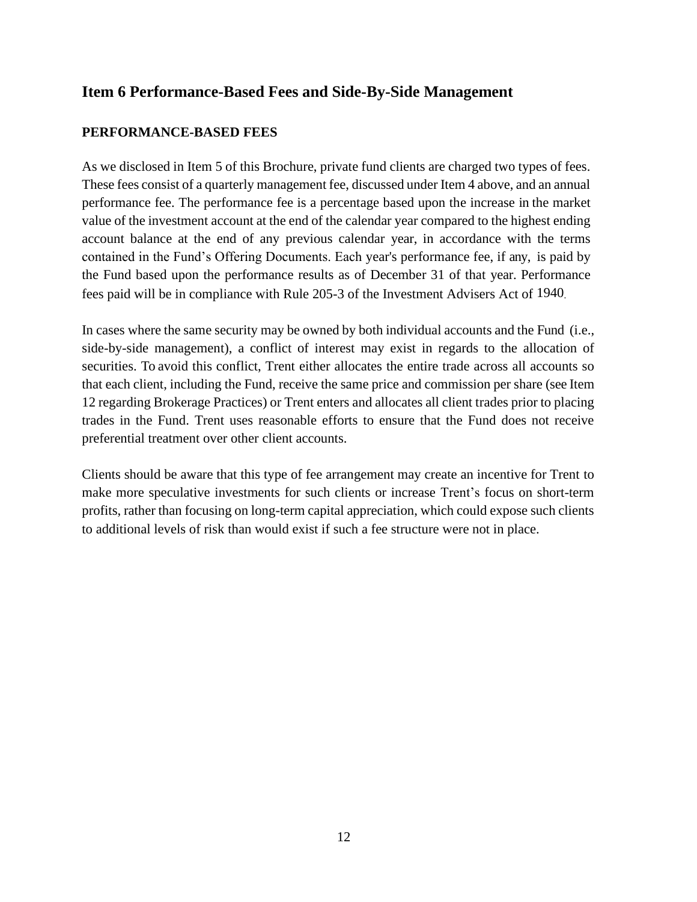## <span id="page-11-0"></span>**Item 6 Performance-Based Fees and Side-By-Side Management**

### **PERFORMANCE-BASED FEES**

As we disclosed in Item 5 of this Brochure, private fund clients are charged two types of fees. These fees consist of a quarterly management fee, discussed under Item 4 above, and an annual performance fee. The performance fee is a percentage based upon the increase in the market value of the investment account at the end of the calendar year compared to the highest ending account balance at the end of any previous calendar year, in accordance with the terms contained in the Fund's Offering Documents. Each year's performance fee, if any, is paid by the Fund based upon the performance results as of December 31 of that year. Performance fees paid will be in compliance with Rule 205-3 of the Investment Advisers Act of 1940.

In cases where the same security may be owned by both individual accounts and the Fund (i.e., side-by-side management), a conflict of interest may exist in regards to the allocation of securities. To avoid this conflict, Trent either allocates the entire trade across all accounts so that each client, including the Fund, receive the same price and commission per share (see Item 12 regarding Brokerage Practices) or Trent enters and allocates all client trades prior to placing trades in the Fund. Trent uses reasonable efforts to ensure that the Fund does not receive preferential treatment over other client accounts.

Clients should be aware that this type of fee arrangement may create an incentive for Trent to make more speculative investments for such clients or increase Trent's focus on short-term profits, rather than focusing on long-term capital appreciation, which could expose such clients to additional levels of risk than would exist if such a fee structure were not in place.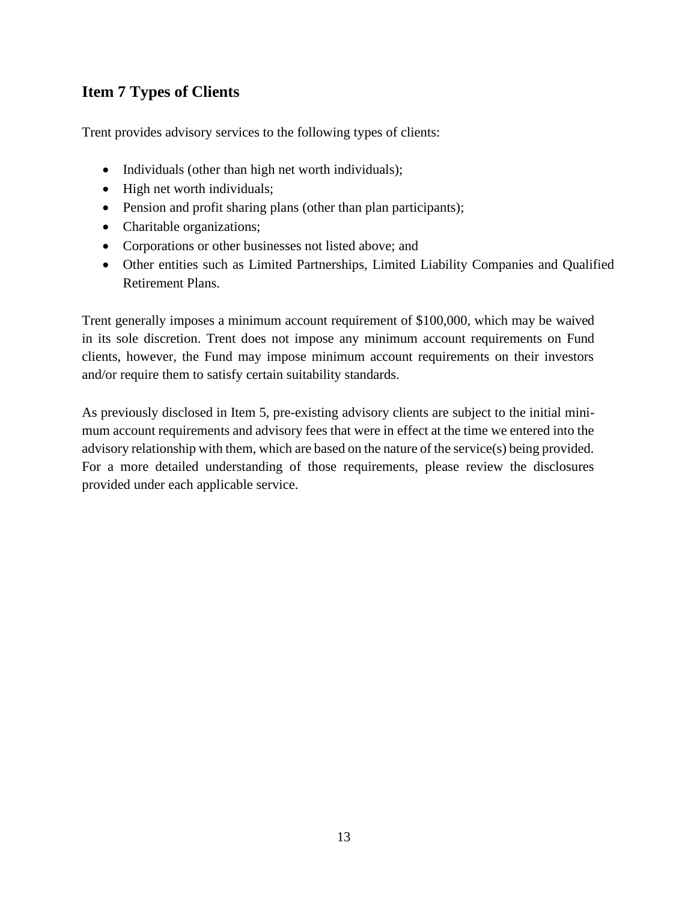# <span id="page-12-0"></span>**Item 7 Types of Clients**

Trent provides advisory services to the following types of clients:

- Individuals (other than high net worth individuals);
- High net worth individuals;
- Pension and profit sharing plans (other than plan participants);
- Charitable organizations;
- Corporations or other businesses not listed above; and
- Other entities such as Limited Partnerships, Limited Liability Companies and Qualified Retirement Plans.

Trent generally imposes a minimum account requirement of \$100,000, which may be waived in its sole discretion. Trent does not impose any minimum account requirements on Fund clients, however, the Fund may impose minimum account requirements on their investors and/or require them to satisfy certain suitability standards.

As previously disclosed in Item 5, pre-existing advisory clients are subject to the initial minimum account requirements and advisory fees that were in effect at the time we entered into the advisory relationship with them, which are based on the nature of the service(s) being provided. For a more detailed understanding of those requirements, please review the disclosures provided under each applicable service.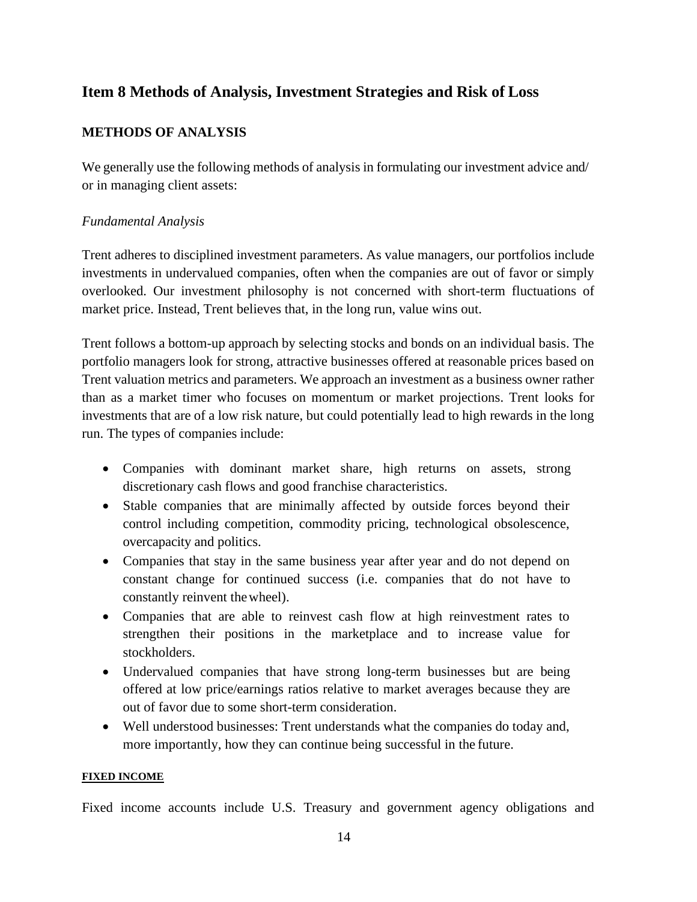## <span id="page-13-0"></span>**Item 8 Methods of Analysis, Investment Strategies and Risk of Loss**

### **METHODS OF ANALYSIS**

We generally use the following methods of analysis in formulating our investment advice and/ or in managing client assets:

#### *Fundamental Analysis*

Trent adheres to disciplined investment parameters. As value managers, our portfolios include investments in undervalued companies, often when the companies are out of favor or simply overlooked. Our investment philosophy is not concerned with short-term fluctuations of market price. Instead, Trent believes that, in the long run, value wins out.

Trent follows a bottom-up approach by selecting stocks and bonds on an individual basis. The portfolio managers look for strong, attractive businesses offered at reasonable prices based on Trent valuation metrics and parameters. We approach an investment as a business owner rather than as a market timer who focuses on momentum or market projections. Trent looks for investments that are of a low risk nature, but could potentially lead to high rewards in the long run. The types of companies include:

- Companies with dominant market share, high returns on assets, strong discretionary cash flows and good franchise characteristics.
- Stable companies that are minimally affected by outside forces beyond their control including competition, commodity pricing, technological obsolescence, overcapacity and politics.
- Companies that stay in the same business year after year and do not depend on constant change for continued success (i.e. companies that do not have to constantly reinvent thewheel).
- Companies that are able to reinvest cash flow at high reinvestment rates to strengthen their positions in the marketplace and to increase value for stockholders.
- Undervalued companies that have strong long-term businesses but are being offered at low price/earnings ratios relative to market averages because they are out of favor due to some short-term consideration.
- Well understood businesses: Trent understands what the companies do today and, more importantly, how they can continue being successful in the future.

#### **FIXED INCOME**

Fixed income accounts include U.S. Treasury and government agency obligations and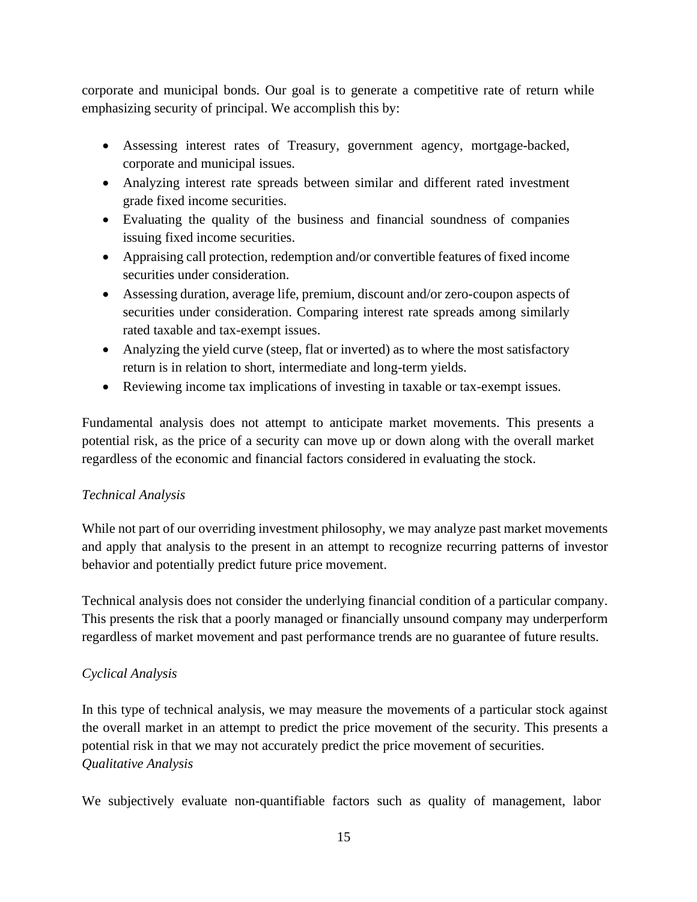corporate and municipal bonds. Our goal is to generate a competitive rate of return while emphasizing security of principal. We accomplish this by:

- Assessing interest rates of Treasury, government agency, mortgage-backed, corporate and municipal issues.
- Analyzing interest rate spreads between similar and different rated investment grade fixed income securities.
- Evaluating the quality of the business and financial soundness of companies issuing fixed income securities.
- Appraising call protection, redemption and/or convertible features of fixed income securities under consideration.
- Assessing duration, average life, premium, discount and/or zero-coupon aspects of securities under consideration. Comparing interest rate spreads among similarly rated taxable and tax-exempt issues.
- Analyzing the yield curve (steep, flat or inverted) as to where the most satisfactory return is in relation to short, intermediate and long-term yields.
- Reviewing income tax implications of investing in taxable or tax-exempt issues.

Fundamental analysis does not attempt to anticipate market movements. This presents a potential risk, as the price of a security can move up or down along with the overall market regardless of the economic and financial factors considered in evaluating the stock.

### *Technical Analysis*

While not part of our overriding investment philosophy, we may analyze past market movements and apply that analysis to the present in an attempt to recognize recurring patterns of investor behavior and potentially predict future price movement.

Technical analysis does not consider the underlying financial condition of a particular company. This presents the risk that a poorly managed or financially unsound company may underperform regardless of market movement and past performance trends are no guarantee of future results.

### *Cyclical Analysis*

In this type of technical analysis, we may measure the movements of a particular stock against the overall market in an attempt to predict the price movement of the security. This presents a potential risk in that we may not accurately predict the price movement of securities. *Qualitative Analysis*

We subjectively evaluate non-quantifiable factors such as quality of management, labor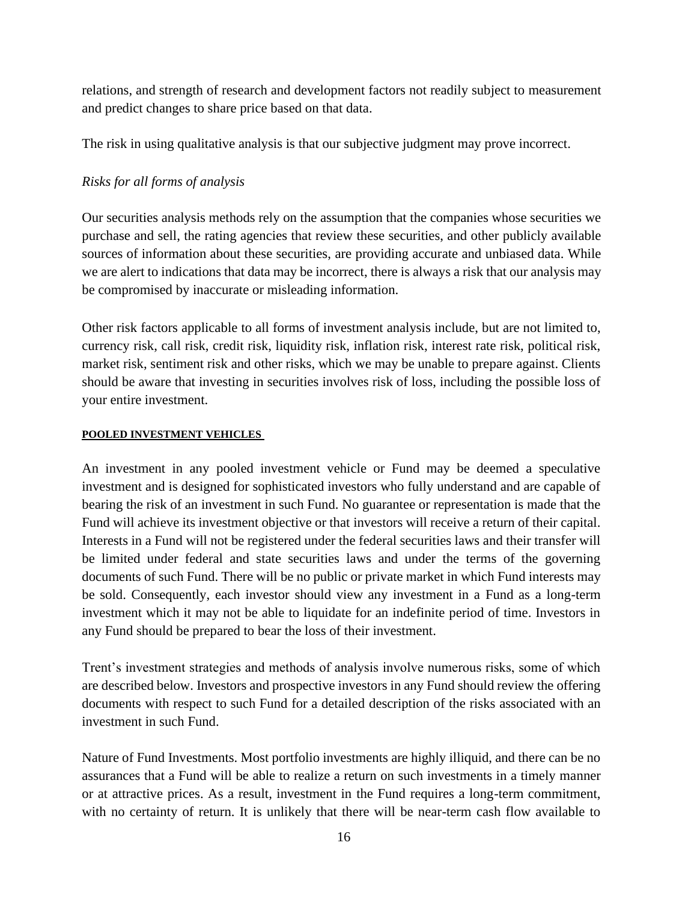relations, and strength of research and development factors not readily subject to measurement and predict changes to share price based on that data.

The risk in using qualitative analysis is that our subjective judgment may prove incorrect.

### *Risks for all forms of analysis*

Our securities analysis methods rely on the assumption that the companies whose securities we purchase and sell, the rating agencies that review these securities, and other publicly available sources of information about these securities, are providing accurate and unbiased data. While we are alert to indications that data may be incorrect, there is always a risk that our analysis may be compromised by inaccurate or misleading information.

Other risk factors applicable to all forms of investment analysis include, but are not limited to, currency risk, call risk, credit risk, liquidity risk, inflation risk, interest rate risk, political risk, market risk, sentiment risk and other risks, which we may be unable to prepare against. Clients should be aware that investing in securities involves risk of loss, including the possible loss of your entire investment.

#### **POOLED INVESTMENT VEHICLES**

An investment in any pooled investment vehicle or Fund may be deemed a speculative investment and is designed for sophisticated investors who fully understand and are capable of bearing the risk of an investment in such Fund. No guarantee or representation is made that the Fund will achieve its investment objective or that investors will receive a return of their capital. Interests in a Fund will not be registered under the federal securities laws and their transfer will be limited under federal and state securities laws and under the terms of the governing documents of such Fund. There will be no public or private market in which Fund interests may be sold. Consequently, each investor should view any investment in a Fund as a long-term investment which it may not be able to liquidate for an indefinite period of time. Investors in any Fund should be prepared to bear the loss of their investment.

Trent's investment strategies and methods of analysis involve numerous risks, some of which are described below. Investors and prospective investors in any Fund should review the offering documents with respect to such Fund for a detailed description of the risks associated with an investment in such Fund.

Nature of Fund Investments. Most portfolio investments are highly illiquid, and there can be no assurances that a Fund will be able to realize a return on such investments in a timely manner or at attractive prices. As a result, investment in the Fund requires a long-term commitment, with no certainty of return. It is unlikely that there will be near-term cash flow available to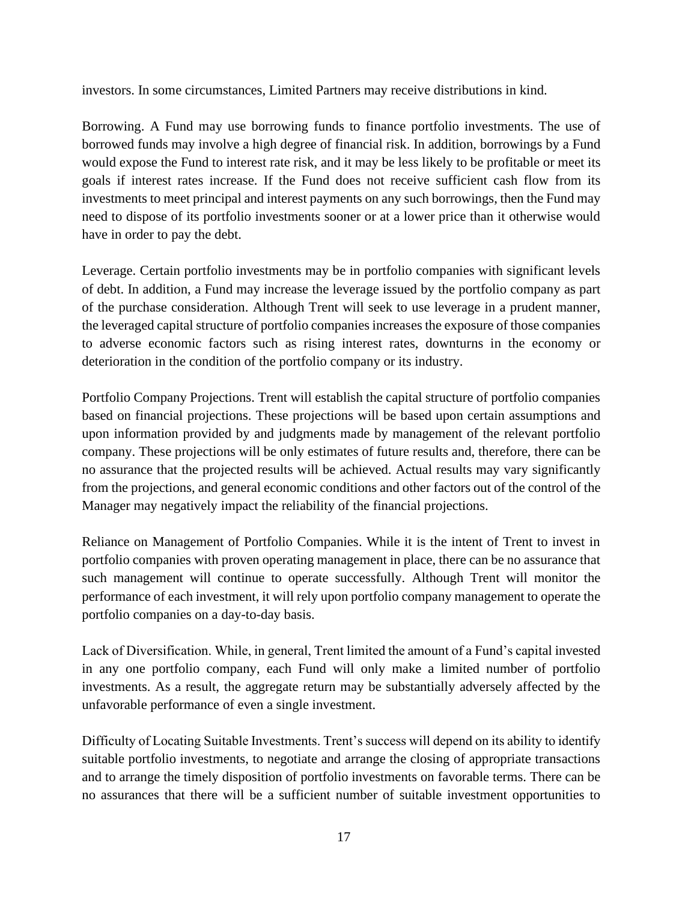investors. In some circumstances, Limited Partners may receive distributions in kind.

Borrowing. A Fund may use borrowing funds to finance portfolio investments. The use of borrowed funds may involve a high degree of financial risk. In addition, borrowings by a Fund would expose the Fund to interest rate risk, and it may be less likely to be profitable or meet its goals if interest rates increase. If the Fund does not receive sufficient cash flow from its investments to meet principal and interest payments on any such borrowings, then the Fund may need to dispose of its portfolio investments sooner or at a lower price than it otherwise would have in order to pay the debt.

Leverage. Certain portfolio investments may be in portfolio companies with significant levels of debt. In addition, a Fund may increase the leverage issued by the portfolio company as part of the purchase consideration. Although Trent will seek to use leverage in a prudent manner, the leveraged capital structure of portfolio companies increases the exposure of those companies to adverse economic factors such as rising interest rates, downturns in the economy or deterioration in the condition of the portfolio company or its industry.

Portfolio Company Projections. Trent will establish the capital structure of portfolio companies based on financial projections. These projections will be based upon certain assumptions and upon information provided by and judgments made by management of the relevant portfolio company. These projections will be only estimates of future results and, therefore, there can be no assurance that the projected results will be achieved. Actual results may vary significantly from the projections, and general economic conditions and other factors out of the control of the Manager may negatively impact the reliability of the financial projections.

Reliance on Management of Portfolio Companies. While it is the intent of Trent to invest in portfolio companies with proven operating management in place, there can be no assurance that such management will continue to operate successfully. Although Trent will monitor the performance of each investment, it will rely upon portfolio company management to operate the portfolio companies on a day-to-day basis.

Lack of Diversification. While, in general, Trent limited the amount of a Fund's capital invested in any one portfolio company, each Fund will only make a limited number of portfolio investments. As a result, the aggregate return may be substantially adversely affected by the unfavorable performance of even a single investment.

Difficulty of Locating Suitable Investments. Trent's success will depend on its ability to identify suitable portfolio investments, to negotiate and arrange the closing of appropriate transactions and to arrange the timely disposition of portfolio investments on favorable terms. There can be no assurances that there will be a sufficient number of suitable investment opportunities to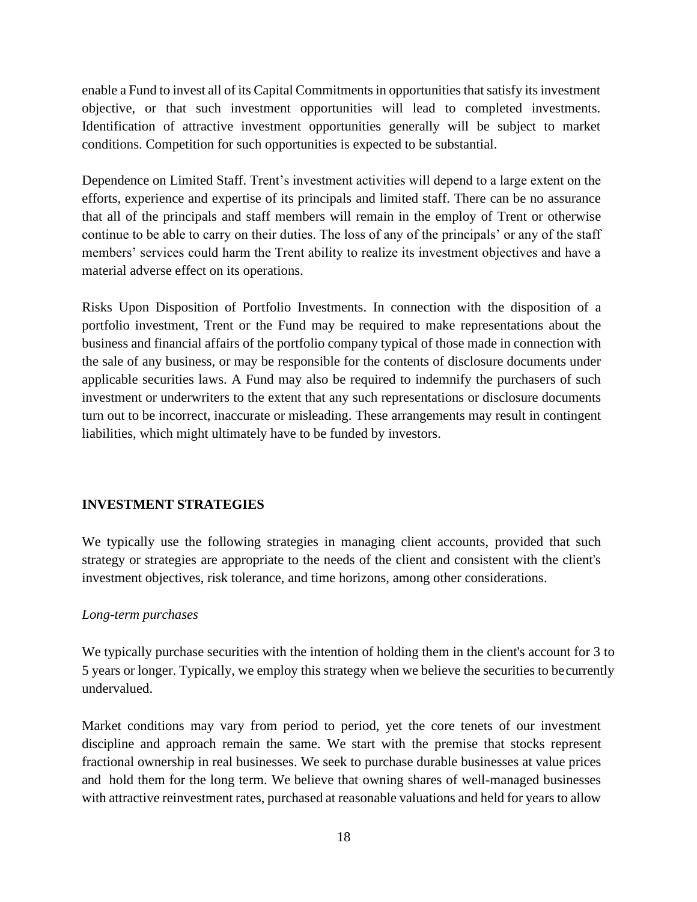enable a Fund to invest all of its Capital Commitments in opportunities that satisfy its investment objective, or that such investment opportunities will lead to completed investments. Identification of attractive investment opportunities generally will be subject to market conditions. Competition for such opportunities is expected to be substantial.

Dependence on Limited Staff. Trent's investment activities will depend to a large extent on the efforts, experience and expertise of its principals and limited staff. There can be no assurance that all of the principals and staff members will remain in the employ of Trent or otherwise continue to be able to carry on their duties. The loss of any of the principals' or any of the staff members' services could harm the Trent ability to realize its investment objectives and have a material adverse effect on its operations.

Risks Upon Disposition of Portfolio Investments. In connection with the disposition of a portfolio investment, Trent or the Fund may be required to make representations about the business and financial affairs of the portfolio company typical of those made in connection with the sale of any business, or may be responsible for the contents of disclosure documents under applicable securities laws. A Fund may also be required to indemnify the purchasers of such investment or underwriters to the extent that any such representations or disclosure documents turn out to be incorrect, inaccurate or misleading. These arrangements may result in contingent liabilities, which might ultimately have to be funded by investors.

### **INVESTMENT STRATEGIES**

We typically use the following strategies in managing client accounts, provided that such strategy or strategies are appropriate to the needs of the client and consistent with the client's investment objectives, risk tolerance, and time horizons, among other considerations.

### *Long-term purchases*

We typically purchase securities with the intention of holding them in the client's account for 3 to 5 years or longer. Typically, we employ this strategy when we believe the securities to becurrently undervalued.

Market conditions may vary from period to period, yet the core tenets of our investment discipline and approach remain the same. We start with the premise that stocks represent fractional ownership in real businesses. We seek to purchase durable businesses at value prices and hold them for the long term. We believe that owning shares of well-managed businesses with attractive reinvestment rates, purchased at reasonable valuations and held for years to allow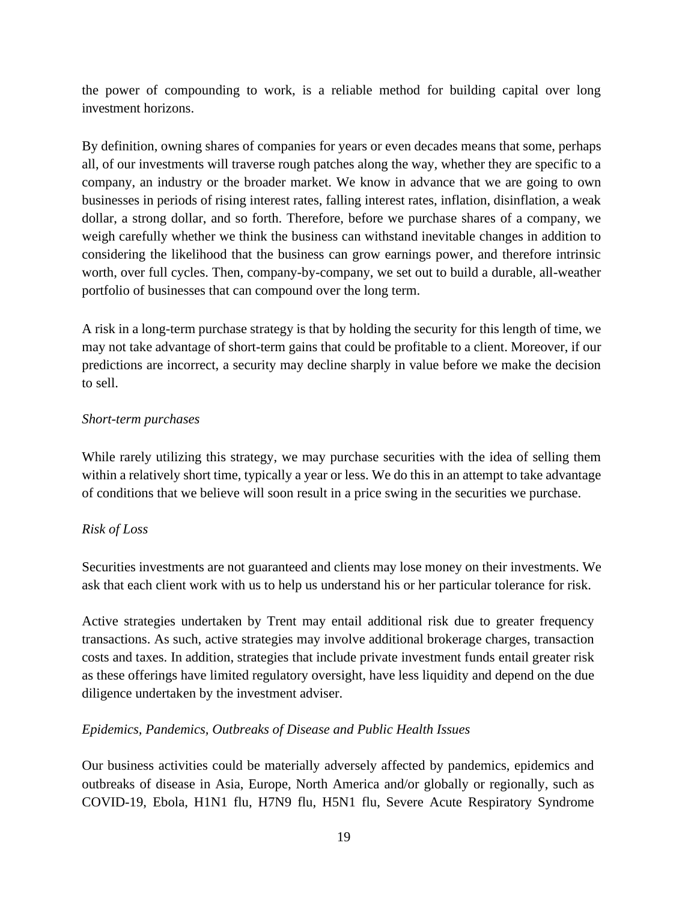the power of compounding to work, is a reliable method for building capital over long investment horizons.

By definition, owning shares of companies for years or even decades means that some, perhaps all, of our investments will traverse rough patches along the way, whether they are specific to a company, an industry or the broader market. We know in advance that we are going to own businesses in periods of rising interest rates, falling interest rates, inflation, disinflation, a weak dollar, a strong dollar, and so forth. Therefore, before we purchase shares of a company, we weigh carefully whether we think the business can withstand inevitable changes in addition to considering the likelihood that the business can grow earnings power, and therefore intrinsic worth, over full cycles. Then, company-by-company, we set out to build a durable, all-weather portfolio of businesses that can compound over the long term.

A risk in a long-term purchase strategy is that by holding the security for this length of time, we may not take advantage of short-term gains that could be profitable to a client. Moreover, if our predictions are incorrect, a security may decline sharply in value before we make the decision to sell.

### *Short-term purchases*

While rarely utilizing this strategy, we may purchase securities with the idea of selling them within a relatively short time, typically a year or less. We do this in an attempt to take advantage of conditions that we believe will soon result in a price swing in the securities we purchase.

### *Risk of Loss*

Securities investments are not guaranteed and clients may lose money on their investments. We ask that each client work with us to help us understand his or her particular tolerance for risk.

Active strategies undertaken by Trent may entail additional risk due to greater frequency transactions. As such, active strategies may involve additional brokerage charges, transaction costs and taxes. In addition, strategies that include private investment funds entail greater risk as these offerings have limited regulatory oversight, have less liquidity and depend on the due diligence undertaken by the investment adviser.

### *Epidemics, Pandemics, Outbreaks of Disease and Public Health Issues*

Our business activities could be materially adversely affected by pandemics, epidemics and outbreaks of disease in Asia, Europe, North America and/or globally or regionally, such as COVID-19, Ebola, H1N1 flu, H7N9 flu, H5N1 flu, Severe Acute Respiratory Syndrome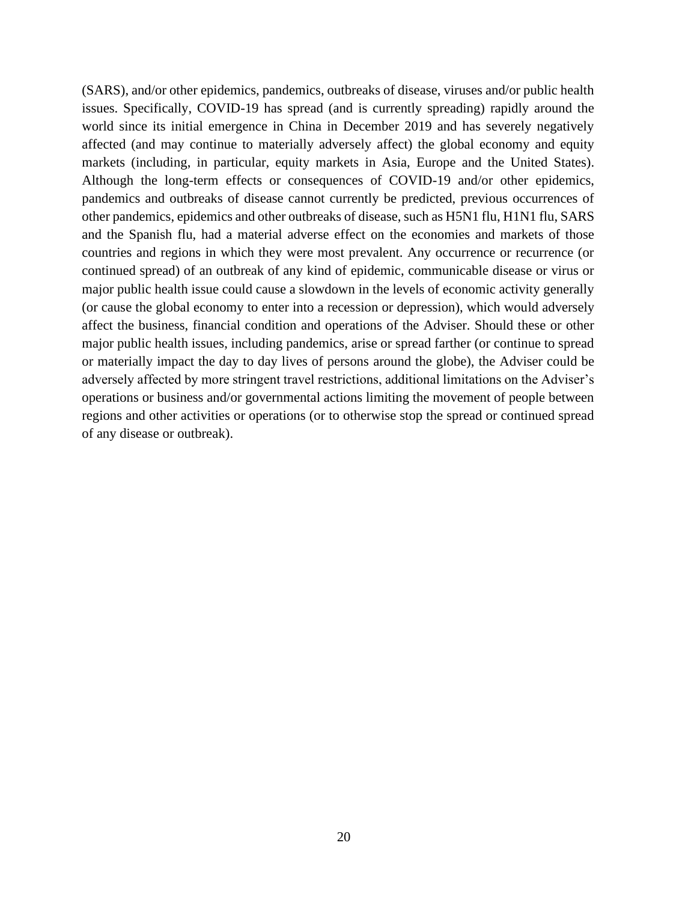(SARS), and/or other epidemics, pandemics, outbreaks of disease, viruses and/or public health issues. Specifically, COVID-19 has spread (and is currently spreading) rapidly around the world since its initial emergence in China in December 2019 and has severely negatively affected (and may continue to materially adversely affect) the global economy and equity markets (including, in particular, equity markets in Asia, Europe and the United States). Although the long-term effects or consequences of COVID-19 and/or other epidemics, pandemics and outbreaks of disease cannot currently be predicted, previous occurrences of other pandemics, epidemics and other outbreaks of disease, such as H5N1 flu, H1N1 flu, SARS and the Spanish flu, had a material adverse effect on the economies and markets of those countries and regions in which they were most prevalent. Any occurrence or recurrence (or continued spread) of an outbreak of any kind of epidemic, communicable disease or virus or major public health issue could cause a slowdown in the levels of economic activity generally (or cause the global economy to enter into a recession or depression), which would adversely affect the business, financial condition and operations of the Adviser. Should these or other major public health issues, including pandemics, arise or spread farther (or continue to spread or materially impact the day to day lives of persons around the globe), the Adviser could be adversely affected by more stringent travel restrictions, additional limitations on the Adviser's operations or business and/or governmental actions limiting the movement of people between regions and other activities or operations (or to otherwise stop the spread or continued spread of any disease or outbreak).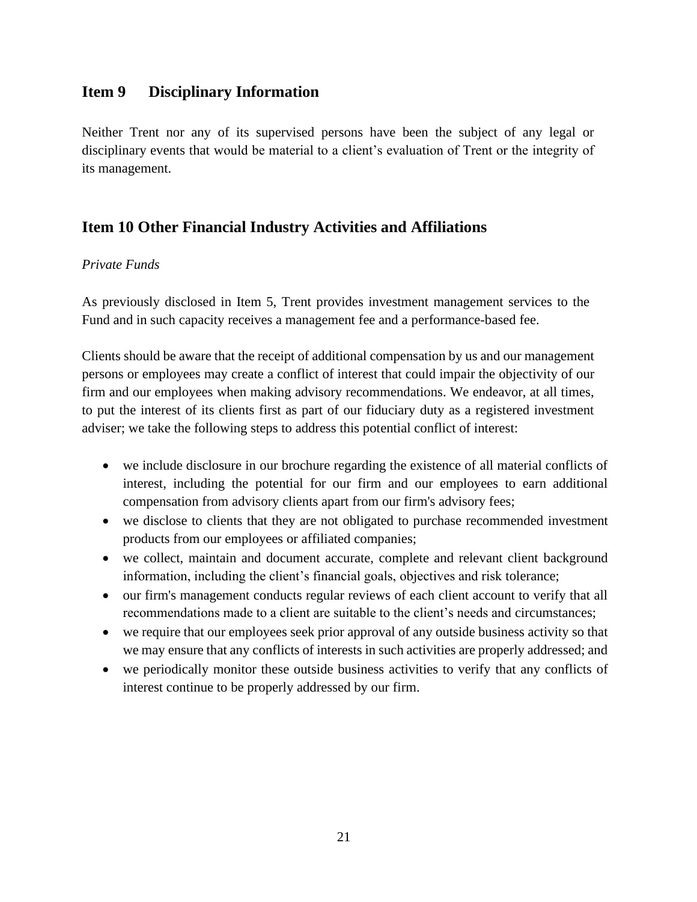### <span id="page-20-0"></span>**Item 9 Disciplinary Information**

Neither Trent nor any of its supervised persons have been the subject of any legal or disciplinary events that would be material to a client's evaluation of Trent or the integrity of its management.

## <span id="page-20-1"></span>**Item 10 Other Financial Industry Activities and Affiliations**

#### *Private Funds*

As previously disclosed in Item 5, Trent provides investment management services to the Fund and in such capacity receives a management fee and a performance-based fee.

Clients should be aware that the receipt of additional compensation by us and our management persons or employees may create a conflict of interest that could impair the objectivity of our firm and our employees when making advisory recommendations. We endeavor, at all times, to put the interest of its clients first as part of our fiduciary duty as a registered investment adviser; we take the following steps to address this potential conflict of interest:

- we include disclosure in our brochure regarding the existence of all material conflicts of interest, including the potential for our firm and our employees to earn additional compensation from advisory clients apart from our firm's advisory fees;
- we disclose to clients that they are not obligated to purchase recommended investment products from our employees or affiliated companies;
- we collect, maintain and document accurate, complete and relevant client background information, including the client's financial goals, objectives and risk tolerance;
- our firm's management conducts regular reviews of each client account to verify that all recommendations made to a client are suitable to the client's needs and circumstances;
- we require that our employees seek prior approval of any outside business activity so that we may ensure that any conflicts of interests in such activities are properly addressed; and
- we periodically monitor these outside business activities to verify that any conflicts of interest continue to be properly addressed by our firm.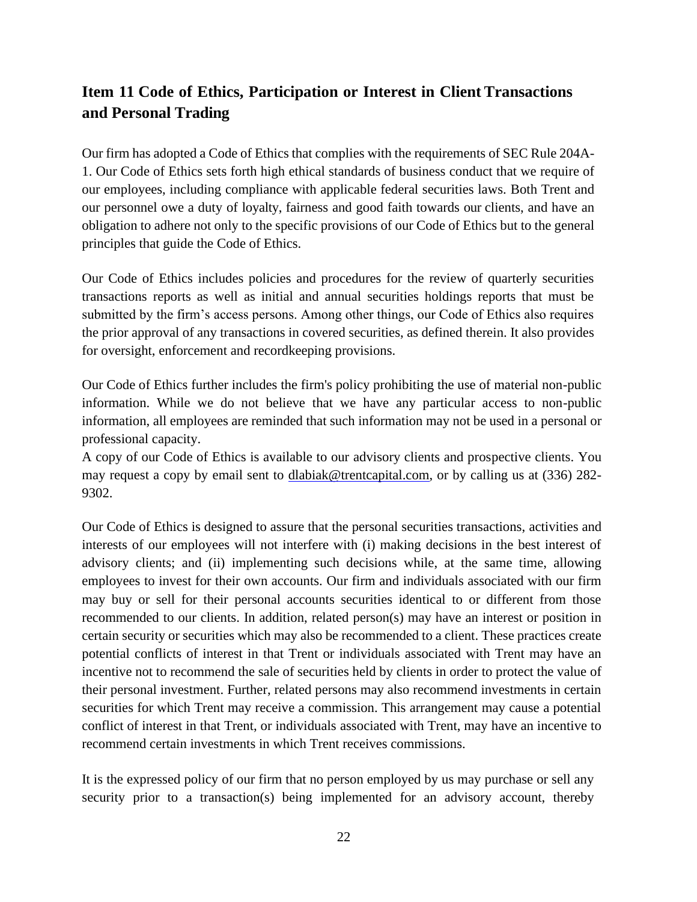# <span id="page-21-0"></span>**Item 11 Code of Ethics, Participation or Interest in Client Transactions and Personal Trading**

Our firm has adopted a Code of Ethics that complies with the requirements of SEC Rule 204A-1. Our Code of Ethics sets forth high ethical standards of business conduct that we require of our employees, including compliance with applicable federal securities laws. Both Trent and our personnel owe a duty of loyalty, fairness and good faith towards our clients, and have an obligation to adhere not only to the specific provisions of our Code of Ethics but to the general principles that guide the Code of Ethics.

Our Code of Ethics includes policies and procedures for the review of quarterly securities transactions reports as well as initial and annual securities holdings reports that must be submitted by the firm's access persons. Among other things, our Code of Ethics also requires the prior approval of any transactions in covered securities, as defined therein. It also provides for oversight, enforcement and recordkeeping provisions.

Our Code of Ethics further includes the firm's policy prohibiting the use of material non-public information. While we do not believe that we have any particular access to non-public information, all employees are reminded that such information may not be used in a personal or professional capacity.

A copy of our Code of Ethics is available to our advisory clients and prospective clients. You may request a copy by email sent to [dlabiak@trentcapital.com, o](mailto:dlabiak@trentcapital.com)r by calling us at (336) 282-9302.

Our Code of Ethics is designed to assure that the personal securities transactions, activities and interests of our employees will not interfere with (i) making decisions in the best interest of advisory clients; and (ii) implementing such decisions while, at the same time, allowing employees to invest for their own accounts. Our firm and individuals associated with our firm may buy or sell for their personal accounts securities identical to or different from those recommended to our clients. In addition, related person(s) may have an interest or position in certain security or securities which may also be recommended to a client. These practices create potential conflicts of interest in that Trent or individuals associated with Trent may have an incentive not to recommend the sale of securities held by clients in order to protect the value of their personal investment. Further, related persons may also recommend investments in certain securities for which Trent may receive a commission. This arrangement may cause a potential conflict of interest in that Trent, or individuals associated with Trent, may have an incentive to recommend certain investments in which Trent receives commissions.

It is the expressed policy of our firm that no person employed by us may purchase or sell any security prior to a transaction(s) being implemented for an advisory account, thereby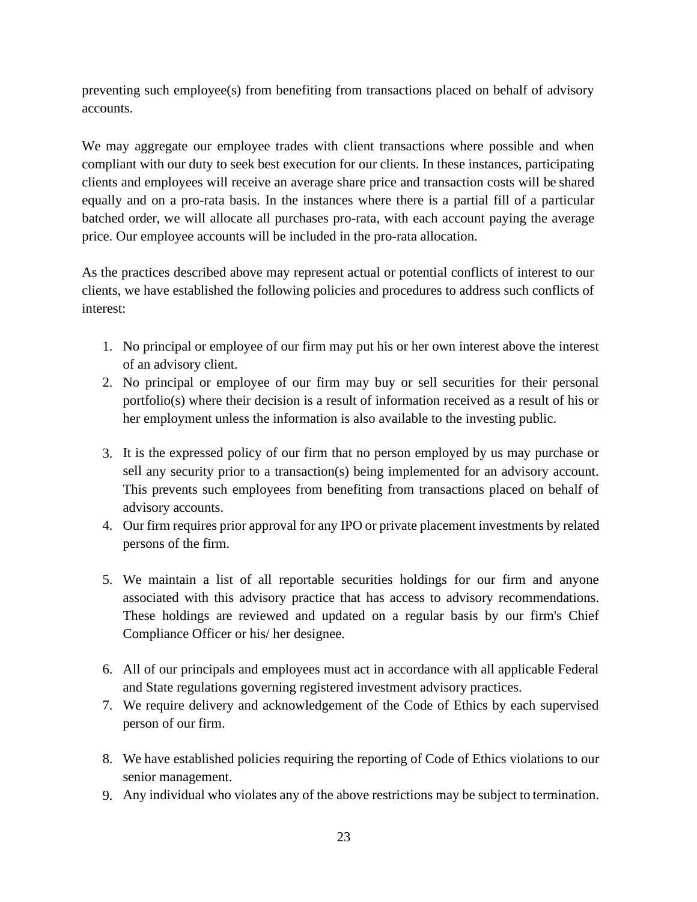preventing such employee(s) from benefiting from transactions placed on behalf of advisory accounts.

We may aggregate our employee trades with client transactions where possible and when compliant with our duty to seek best execution for our clients. In these instances, participating clients and employees will receive an average share price and transaction costs will be shared equally and on a pro-rata basis. In the instances where there is a partial fill of a particular batched order, we will allocate all purchases pro-rata, with each account paying the average price. Our employee accounts will be included in the pro-rata allocation.

As the practices described above may represent actual or potential conflicts of interest to our clients, we have established the following policies and procedures to address such conflicts of interest:

- 1. No principal or employee of our firm may put his or her own interest above the interest of an advisory client.
- 2. No principal or employee of our firm may buy or sell securities for their personal portfolio(s) where their decision is a result of information received as a result of his or her employment unless the information is also available to the investing public.
- 3. It is the expressed policy of our firm that no person employed by us may purchase or sell any security prior to a transaction(s) being implemented for an advisory account. This prevents such employees from benefiting from transactions placed on behalf of advisory accounts.
- 4. Our firm requires prior approval for any IPO or private placement investments by related persons of the firm.
- 5. We maintain a list of all reportable securities holdings for our firm and anyone associated with this advisory practice that has access to advisory recommendations. These holdings are reviewed and updated on a regular basis by our firm's Chief Compliance Officer or his/ her designee.
- 6. All of our principals and employees must act in accordance with all applicable Federal and State regulations governing registered investment advisory practices.
- 7. We require delivery and acknowledgement of the Code of Ethics by each supervised person of our firm.
- 8. We have established policies requiring the reporting of Code of Ethics violations to our senior management.
- 9. Any individual who violates any of the above restrictions may be subject to termination.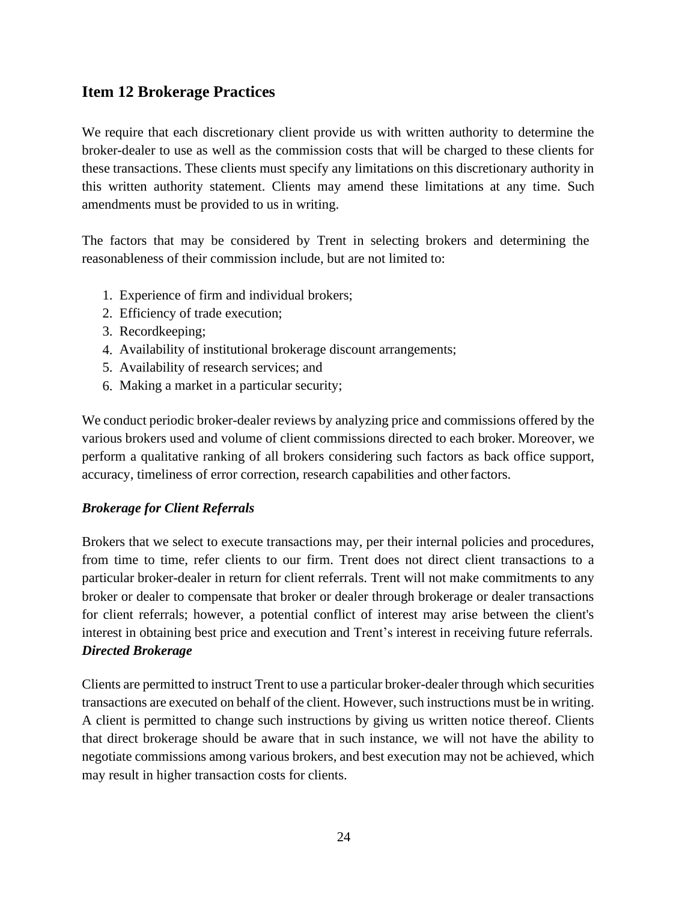## <span id="page-23-0"></span>**Item 12 Brokerage Practices**

We require that each discretionary client provide us with written authority to determine the broker-dealer to use as well as the commission costs that will be charged to these clients for these transactions. These clients must specify any limitations on this discretionary authority in this written authority statement. Clients may amend these limitations at any time. Such amendments must be provided to us in writing.

The factors that may be considered by Trent in selecting brokers and determining the reasonableness of their commission include, but are not limited to:

- 1. Experience of firm and individual brokers;
- 2. Efficiency of trade execution;
- 3. Recordkeeping;
- 4. Availability of institutional brokerage discount arrangements;
- 5. Availability of research services; and
- 6. Making a market in a particular security;

We conduct periodic broker-dealer reviews by analyzing price and commissions offered by the various brokers used and volume of client commissions directed to each broker. Moreover, we perform a qualitative ranking of all brokers considering such factors as back office support, accuracy, timeliness of error correction, research capabilities and otherfactors.

### *Brokerage for Client Referrals*

Brokers that we select to execute transactions may, per their internal policies and procedures, from time to time, refer clients to our firm. Trent does not direct client transactions to a particular broker-dealer in return for client referrals. Trent will not make commitments to any broker or dealer to compensate that broker or dealer through brokerage or dealer transactions for client referrals; however, a potential conflict of interest may arise between the client's interest in obtaining best price and execution and Trent's interest in receiving future referrals. *Directed Brokerage*

Clients are permitted to instruct Trent to use a particular broker-dealer through which securities transactions are executed on behalf of the client. However, such instructions must be in writing. A client is permitted to change such instructions by giving us written notice thereof. Clients that direct brokerage should be aware that in such instance, we will not have the ability to negotiate commissions among various brokers, and best execution may not be achieved, which may result in higher transaction costs for clients.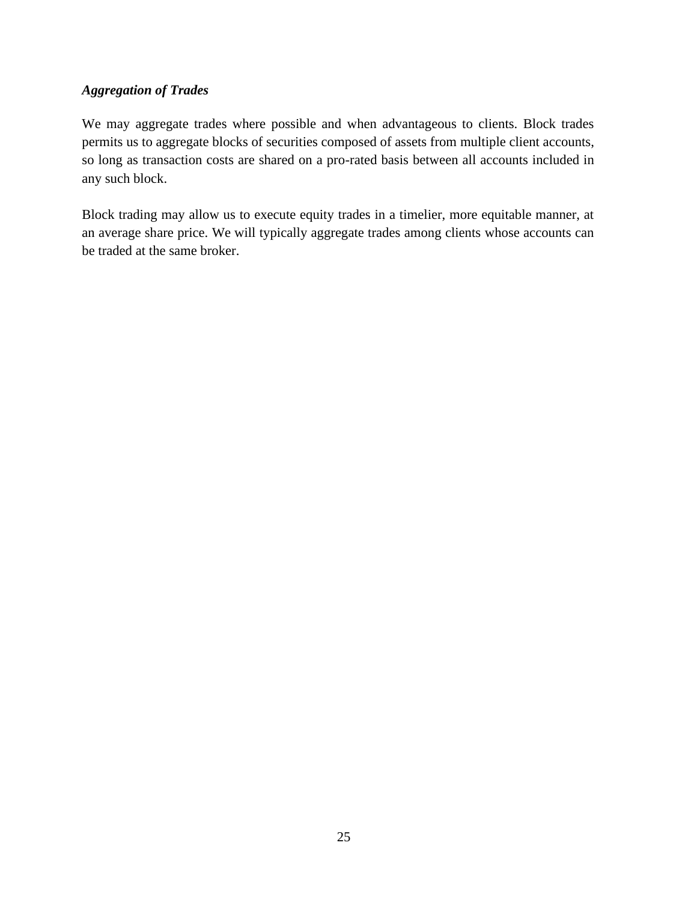### *Aggregation of Trades*

We may aggregate trades where possible and when advantageous to clients. Block trades permits us to aggregate blocks of securities composed of assets from multiple client accounts, so long as transaction costs are shared on a pro-rated basis between all accounts included in any such block.

Block trading may allow us to execute equity trades in a timelier, more equitable manner, at an average share price. We will typically aggregate trades among clients whose accounts can be traded at the same broker.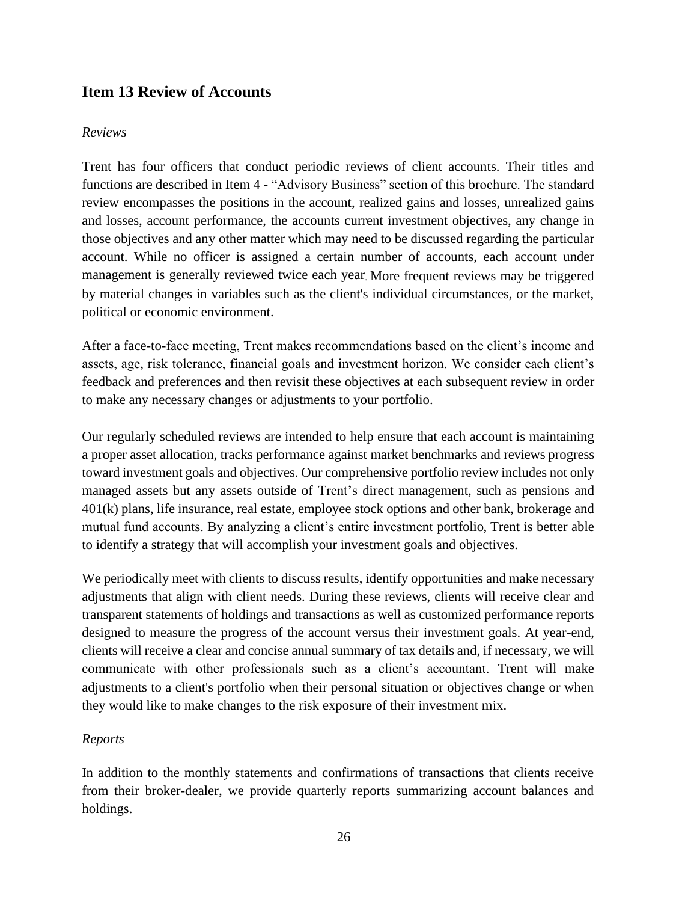## <span id="page-25-0"></span>**Item 13 Review of Accounts**

#### *Reviews*

Trent has four officers that conduct periodic reviews of client accounts. Their titles and functions are described in Item 4 - "Advisory Business" section of this brochure. The standard review encompasses the positions in the account, realized gains and losses, unrealized gains and losses, account performance, the accounts current investment objectives, any change in those objectives and any other matter which may need to be discussed regarding the particular account. While no officer is assigned a certain number of accounts, each account under management is generally reviewed twice each year. More frequent reviews may be triggered by material changes in variables such as the client's individual circumstances, or the market, political or economic environment.

After a face-to-face meeting, Trent makes recommendations based on the client's income and assets, age, risk tolerance, financial goals and investment horizon. We consider each client's feedback and preferences and then revisit these objectives at each subsequent review in order to make any necessary changes or adjustments to your portfolio.

Our regularly scheduled reviews are intended to help ensure that each account is maintaining a proper asset allocation, tracks performance against market benchmarks and reviews progress toward investment goals and objectives. Our comprehensive portfolio review includes not only managed assets but any assets outside of Trent's direct management, such as pensions and 401(k) plans, life insurance, real estate, employee stock options and other bank, brokerage and mutual fund accounts. By analyzing a client's entire investment portfolio, Trent is better able to identify a strategy that will accomplish your investment goals and objectives.

We periodically meet with clients to discuss results, identify opportunities and make necessary adjustments that align with client needs. During these reviews, clients will receive clear and transparent statements of holdings and transactions as well as customized performance reports designed to measure the progress of the account versus their investment goals. At year-end, clients will receive a clear and concise annual summary of tax details and, if necessary, we will communicate with other professionals such as a client's accountant. Trent will make adjustments to a client's portfolio when their personal situation or objectives change or when they would like to make changes to the risk exposure of their investment mix.

#### *Reports*

In addition to the monthly statements and confirmations of transactions that clients receive from their broker-dealer, we provide quarterly reports summarizing account balances and holdings.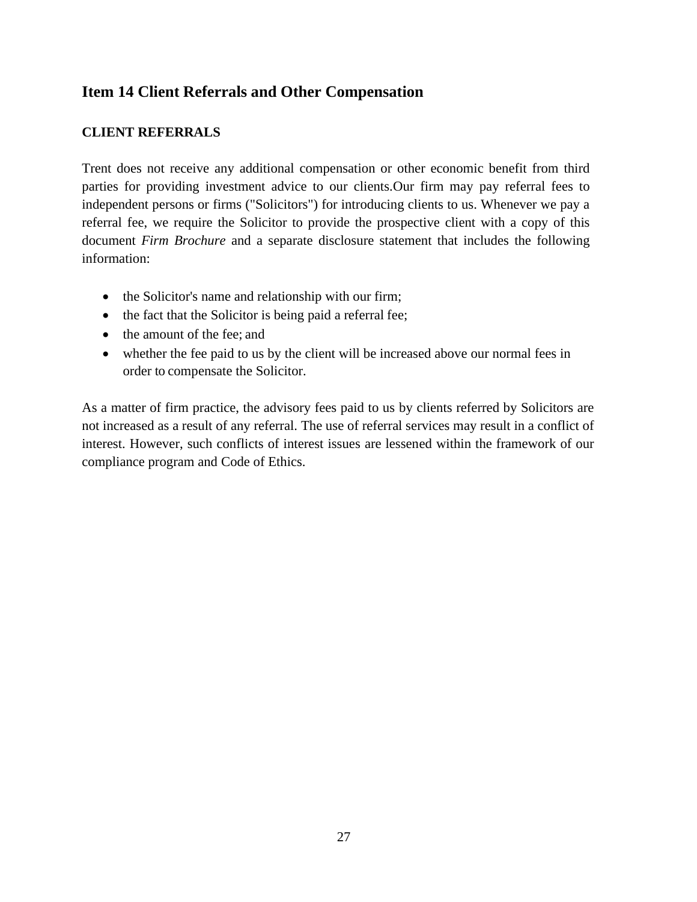# <span id="page-26-0"></span>**Item 14 Client Referrals and Other Compensation**

### **CLIENT REFERRALS**

Trent does not receive any additional compensation or other economic benefit from third parties for providing investment advice to our clients.Our firm may pay referral fees to independent persons or firms ("Solicitors") for introducing clients to us. Whenever we pay a referral fee, we require the Solicitor to provide the prospective client with a copy of this document *Firm Brochure* and a separate disclosure statement that includes the following information:

- the Solicitor's name and relationship with our firm;
- the fact that the Solicitor is being paid a referral fee;
- the amount of the fee; and
- whether the fee paid to us by the client will be increased above our normal fees in order to compensate the Solicitor.

As a matter of firm practice, the advisory fees paid to us by clients referred by Solicitors are not increased as a result of any referral. The use of referral services may result in a conflict of interest. However, such conflicts of interest issues are lessened within the framework of our compliance program and Code of Ethics.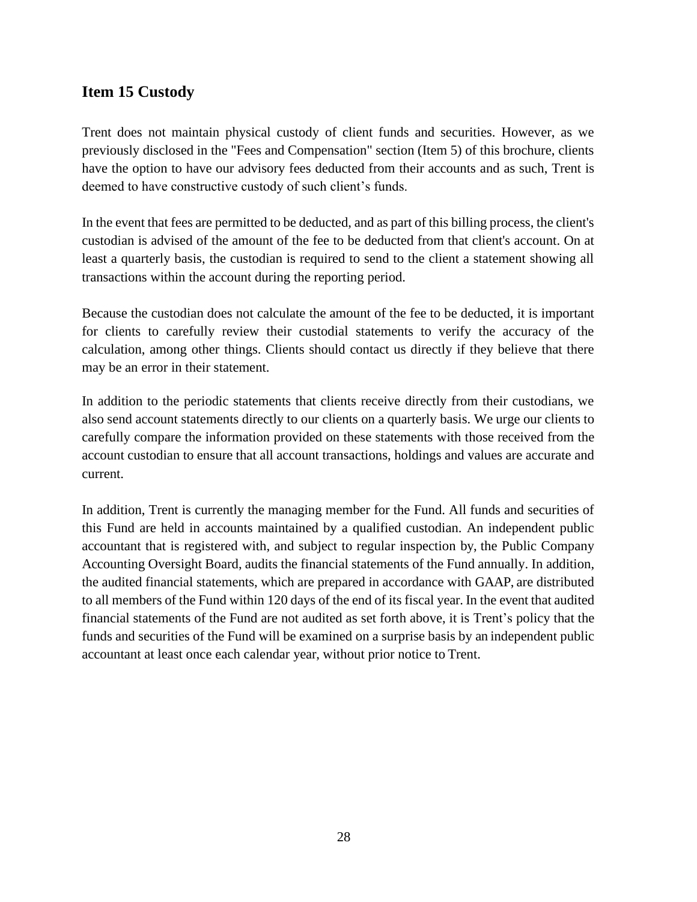## <span id="page-27-0"></span>**Item 15 Custody**

Trent does not maintain physical custody of client funds and securities. However, as we previously disclosed in the "Fees and Compensation" section (Item 5) of this brochure, clients have the option to have our advisory fees deducted from their accounts and as such, Trent is deemed to have constructive custody of such client's funds.

In the event that fees are permitted to be deducted, and as part of this billing process, the client's custodian is advised of the amount of the fee to be deducted from that client's account. On at least a quarterly basis, the custodian is required to send to the client a statement showing all transactions within the account during the reporting period.

Because the custodian does not calculate the amount of the fee to be deducted, it is important for clients to carefully review their custodial statements to verify the accuracy of the calculation, among other things. Clients should contact us directly if they believe that there may be an error in their statement.

In addition to the periodic statements that clients receive directly from their custodians, we also send account statements directly to our clients on a quarterly basis. We urge our clients to carefully compare the information provided on these statements with those received from the account custodian to ensure that all account transactions, holdings and values are accurate and current.

In addition, Trent is currently the managing member for the Fund. All funds and securities of this Fund are held in accounts maintained by a qualified custodian. An independent public accountant that is registered with, and subject to regular inspection by, the Public Company Accounting Oversight Board, audits the financial statements of the Fund annually. In addition, the audited financial statements, which are prepared in accordance with GAAP, are distributed to all members of the Fund within 120 days of the end of its fiscal year. In the event that audited financial statements of the Fund are not audited as set forth above, it is Trent's policy that the funds and securities of the Fund will be examined on a surprise basis by an independent public accountant at least once each calendar year, without prior notice to Trent.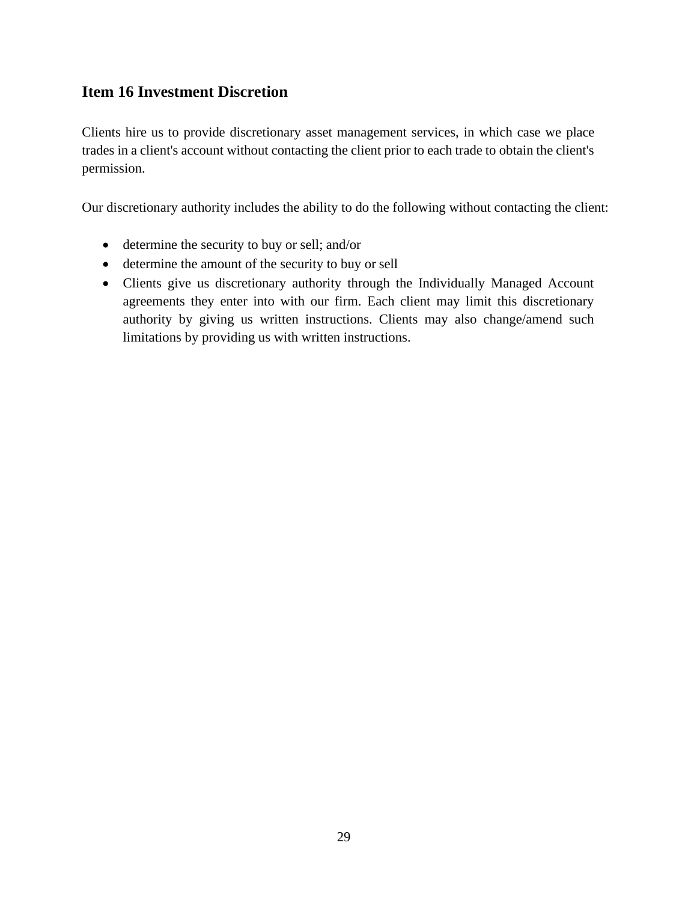## <span id="page-28-0"></span>**Item 16 Investment Discretion**

Clients hire us to provide discretionary asset management services, in which case we place trades in a client's account without contacting the client prior to each trade to obtain the client's permission.

Our discretionary authority includes the ability to do the following without contacting the client:

- determine the security to buy or sell; and/or
- determine the amount of the security to buy or sell
- Clients give us discretionary authority through the Individually Managed Account agreements they enter into with our firm. Each client may limit this discretionary authority by giving us written instructions. Clients may also change/amend such limitations by providing us with written instructions.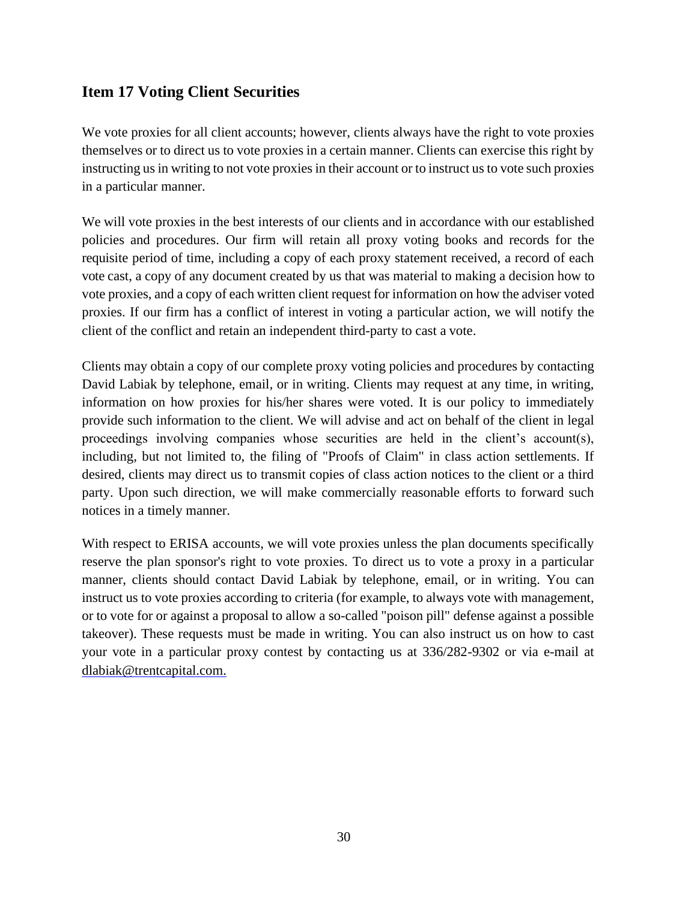## <span id="page-29-0"></span>**Item 17 Voting Client Securities**

We vote proxies for all client accounts; however, clients always have the right to vote proxies themselves or to direct us to vote proxies in a certain manner. Clients can exercise this right by instructing us in writing to not vote proxies in their account or to instruct us to vote such proxies in a particular manner.

We will vote proxies in the best interests of our clients and in accordance with our established policies and procedures. Our firm will retain all proxy voting books and records for the requisite period of time, including a copy of each proxy statement received, a record of each vote cast, a copy of any document created by us that was material to making a decision how to vote proxies, and a copy of each written client request for information on how the adviser voted proxies. If our firm has a conflict of interest in voting a particular action, we will notify the client of the conflict and retain an independent third-party to cast a vote.

Clients may obtain a copy of our complete proxy voting policies and procedures by contacting David Labiak by telephone, email, or in writing. Clients may request at any time, in writing, information on how proxies for his/her shares were voted. It is our policy to immediately provide such information to the client. We will advise and act on behalf of the client in legal proceedings involving companies whose securities are held in the client's account(s), including, but not limited to, the filing of "Proofs of Claim" in class action settlements. If desired, clients may direct us to transmit copies of class action notices to the client or a third party. Upon such direction, we will make commercially reasonable efforts to forward such notices in a timely manner.

With respect to ERISA accounts, we will vote proxies unless the plan documents specifically reserve the plan sponsor's right to vote proxies. To direct us to vote a proxy in a particular manner, clients should contact David Labiak by telephone, email, or in writing. You can instruct us to vote proxies according to criteria (for example, to always vote with management, or to vote for or against a proposal to allow a so-called "poison pill" defense against a possible takeover). These requests must be made in writing. You can also instruct us on how to cast your vote in a particular proxy contest by contacting us at 336/282-9302 or via e-mail at [dlabiak@trentcapital.com.](mailto:dlabiak@trentcapital.com)